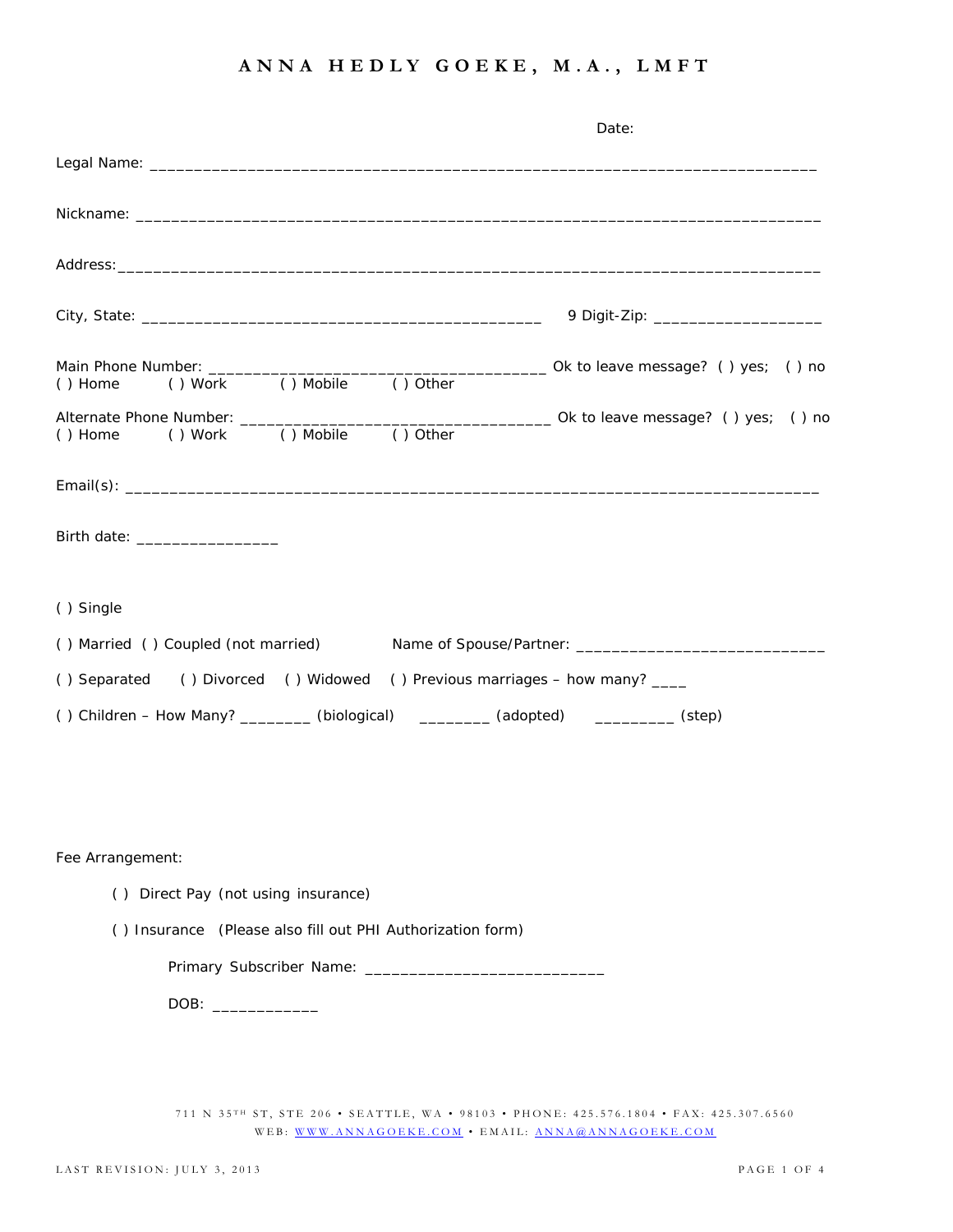|                                                                                  |  |            | Date:                                                                                                                                                                                                                          |  |  |
|----------------------------------------------------------------------------------|--|------------|--------------------------------------------------------------------------------------------------------------------------------------------------------------------------------------------------------------------------------|--|--|
|                                                                                  |  |            |                                                                                                                                                                                                                                |  |  |
|                                                                                  |  |            |                                                                                                                                                                                                                                |  |  |
|                                                                                  |  |            | Address: Andreas Address: Address: Address: Address: Address: Address: Address: Address: Address: Address: Address: Address: Address: Address: Address: Address: Address: Address: Address: Address: Address: Address: Address |  |  |
|                                                                                  |  |            |                                                                                                                                                                                                                                |  |  |
|                                                                                  |  |            |                                                                                                                                                                                                                                |  |  |
|                                                                                  |  |            |                                                                                                                                                                                                                                |  |  |
| () Work () Mobile<br>() Home                                                     |  | $()$ Other |                                                                                                                                                                                                                                |  |  |
|                                                                                  |  |            |                                                                                                                                                                                                                                |  |  |
| Birth date: _____________________                                                |  |            |                                                                                                                                                                                                                                |  |  |
| () Single                                                                        |  |            |                                                                                                                                                                                                                                |  |  |
|                                                                                  |  |            | () Married () Coupled (not married) Mame of Spouse/Partner: _____________________                                                                                                                                              |  |  |
| () Separated () Divorced () Widowed () Previous marriages - how many? ____       |  |            |                                                                                                                                                                                                                                |  |  |
| () Children - How Many? ________ (biological) ________ (adopted) ________ (step) |  |            |                                                                                                                                                                                                                                |  |  |
|                                                                                  |  |            |                                                                                                                                                                                                                                |  |  |
|                                                                                  |  |            |                                                                                                                                                                                                                                |  |  |
|                                                                                  |  |            |                                                                                                                                                                                                                                |  |  |
| Fee Arrangement:                                                                 |  |            |                                                                                                                                                                                                                                |  |  |
| () Direct Pay (not using insurance)                                              |  |            |                                                                                                                                                                                                                                |  |  |
| () Insurance (Please also fill out PHI Authorization form)                       |  |            |                                                                                                                                                                                                                                |  |  |
|                                                                                  |  |            |                                                                                                                                                                                                                                |  |  |
| DOB: ______________                                                              |  |            |                                                                                                                                                                                                                                |  |  |
|                                                                                  |  |            |                                                                                                                                                                                                                                |  |  |
|                                                                                  |  |            |                                                                                                                                                                                                                                |  |  |
|                                                                                  |  |            |                                                                                                                                                                                                                                |  |  |

711 N 35<sup>TH</sup> ST, STE 206 • SEATTLE, WA • 98103 • PHONE: 425.576.1804 • FAX: 425.307.6560 WEB: WWW.ANNAGOEKE.COM • EMAIL: ANNA@ANNAGOEKE.COM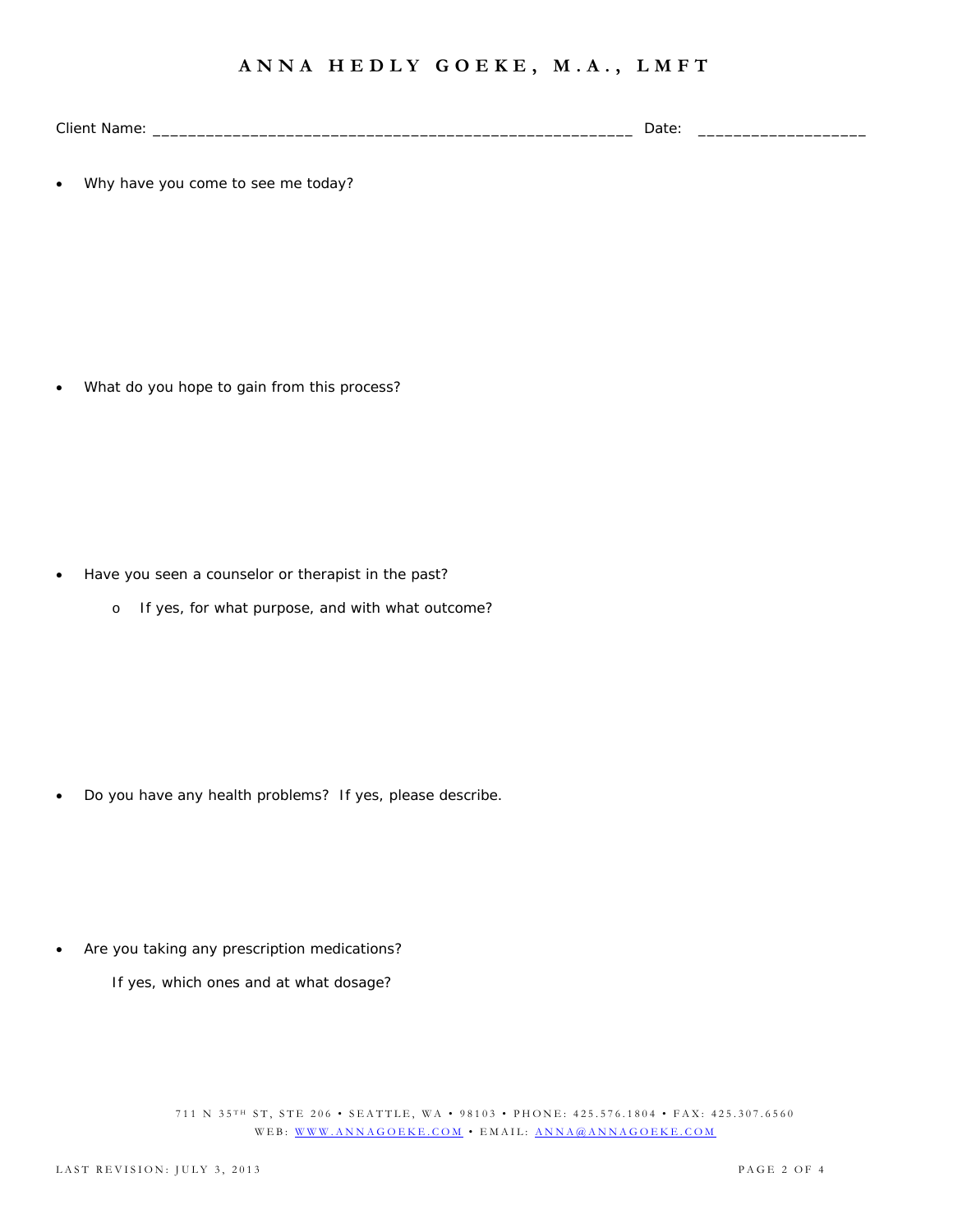Client Name: \_\_\_\_\_\_\_\_\_\_\_\_\_\_\_\_\_\_\_\_\_\_\_\_\_\_\_\_\_\_\_\_\_\_\_\_\_\_\_\_\_\_\_\_\_\_\_\_\_\_\_\_\_\_ Date: \_\_\_\_\_\_\_\_\_\_\_\_\_\_\_\_\_\_\_

Why have you come to see me today?

What do you hope to gain from this process?

- Have you seen a counselor or therapist in the past?
	- o If yes, for what purpose, and with what outcome?

Do you have any health problems? If yes, please describe.

Are you taking any prescription medications?

If yes, which ones and at what dosage?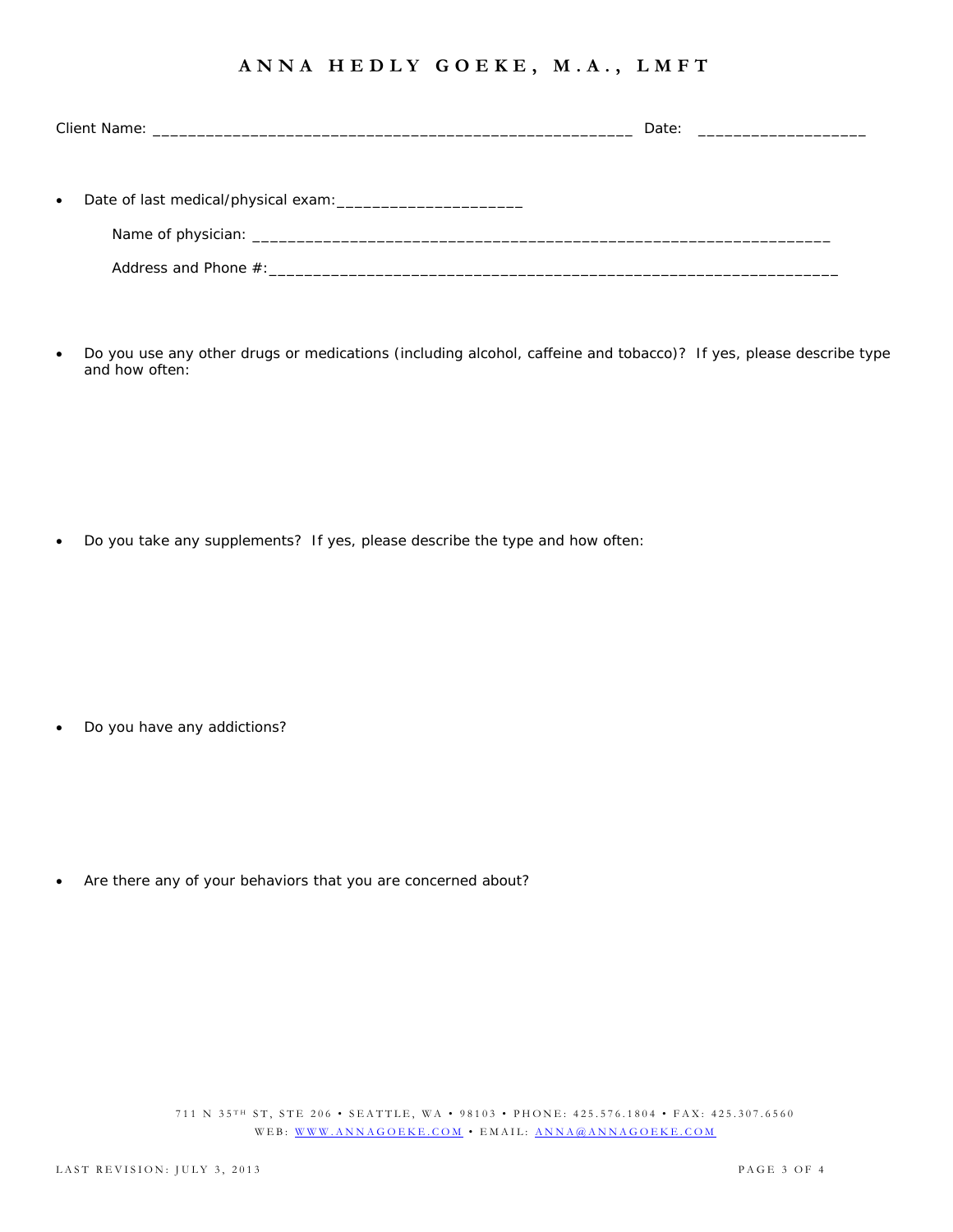| $\bullet$ |  |  |
|-----------|--|--|
|           |  |  |
|           |  |  |

 Do you use any other drugs or medications (including alcohol, caffeine and tobacco)? If yes, please describe type and how often:

Do you take any supplements? If yes, please describe the type and how often:

Do you have any addictions?

Are there any of your behaviors that you are concerned about?

711 N 35TH ST, STE 206 • SEATTLE, WA • 98103 • PHONE: 425.576.1804 • FAX: 425.307.6560 WEB: WWW.ANNAGOEKE.COM • EMAIL: ANNA@ANNAGOEKE.COM